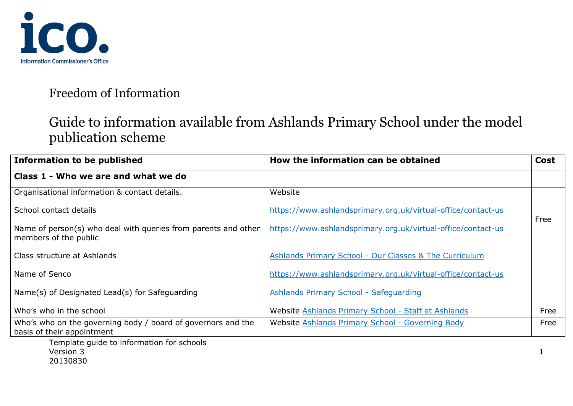

# Guide to information available from Ashlands Primary School under the model publication scheme

| <b>Information to be published</b>                                                         | How the information can be obtained                               | <b>Cost</b> |
|--------------------------------------------------------------------------------------------|-------------------------------------------------------------------|-------------|
| Class 1 - Who we are and what we do                                                        |                                                                   |             |
| Organisational information & contact details.                                              | Website                                                           |             |
| School contact details                                                                     | https://www.ashlandsprimary.org.uk/virtual-office/contact-us      |             |
| Name of person(s) who deal with queries from parents and other<br>members of the public    | https://www.ashlandsprimary.org.uk/virtual-office/contact-us      | Free        |
| Class structure at Ashlands                                                                | <b>Ashlands Primary School - Our Classes &amp; The Curriculum</b> |             |
| Name of Senco                                                                              | https://www.ashlandsprimary.org.uk/virtual-office/contact-us      |             |
| Name(s) of Designated Lead(s) for Safeguarding                                             | <b>Ashlands Primary School - Safeguarding</b>                     |             |
| Who's who in the school                                                                    | Website Ashlands Primary School - Staff at Ashlands               | Free        |
| Who's who on the governing body / board of governors and the<br>basis of their appointment | Website Ashlands Primary School - Governing Body                  | Free        |
| Template quide to information for schools<br>Version 3<br>20130830                         |                                                                   |             |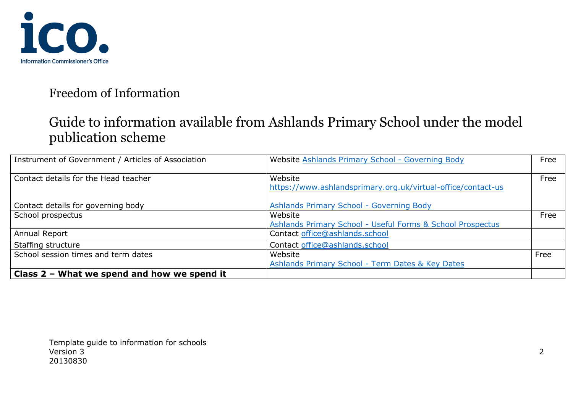

## Guide to information available from Ashlands Primary School under the model publication scheme

| Instrument of Government / Articles of Association | Website Ashlands Primary School - Governing Body                        | Free |
|----------------------------------------------------|-------------------------------------------------------------------------|------|
| Contact details for the Head teacher               | Website<br>https://www.ashlandsprimary.org.uk/virtual-office/contact-us | Free |
| Contact details for governing body                 | Ashlands Primary School - Governing Body                                |      |
| School prospectus                                  | Website                                                                 | Free |
|                                                    | Ashlands Primary School - Useful Forms & School Prospectus              |      |
| Annual Report                                      | Contact office@ashlands.school                                          |      |
| Staffing structure                                 | Contact office@ashlands.school                                          |      |
| School session times and term dates                | Website                                                                 | Free |
|                                                    | Ashlands Primary School - Term Dates & Key Dates                        |      |
| Class 2 - What we spend and how we spend it        |                                                                         |      |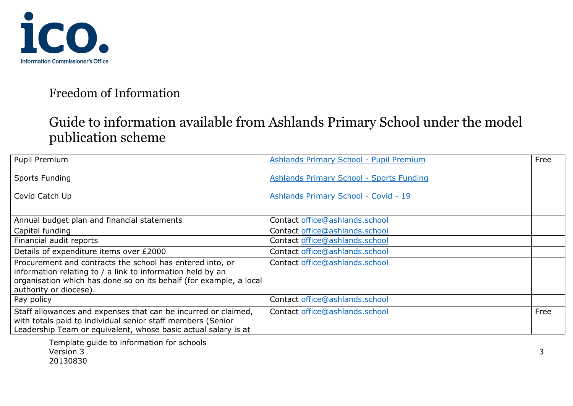

## Guide to information available from Ashlands Primary School under the model publication scheme

| Pupil Premium                                                                                                                                                                                   | <b>Ashlands Primary School - Pupil Premium</b> | Free |
|-------------------------------------------------------------------------------------------------------------------------------------------------------------------------------------------------|------------------------------------------------|------|
| <b>Sports Funding</b>                                                                                                                                                                           | Ashlands Primary School - Sports Funding       |      |
| Covid Catch Up                                                                                                                                                                                  | Ashlands Primary School - Covid - 19           |      |
|                                                                                                                                                                                                 |                                                |      |
| Annual budget plan and financial statements                                                                                                                                                     | Contact office@ashlands.school                 |      |
| Capital funding                                                                                                                                                                                 | Contact office@ashlands.school                 |      |
| Financial audit reports                                                                                                                                                                         | Contact office@ashlands.school                 |      |
| Details of expenditure items over £2000                                                                                                                                                         | Contact office@ashlands.school                 |      |
| Procurement and contracts the school has entered into, or<br>information relating to / a link to information held by an<br>organisation which has done so on its behalf (for example, a local   | Contact office@ashlands.school                 |      |
| authority or diocese).<br>Pay policy                                                                                                                                                            | Contact office@ashlands.school                 |      |
| Staff allowances and expenses that can be incurred or claimed,<br>with totals paid to individual senior staff members (Senior<br>Leadership Team or equivalent, whose basic actual salary is at | Contact office@ashlands.school                 | Free |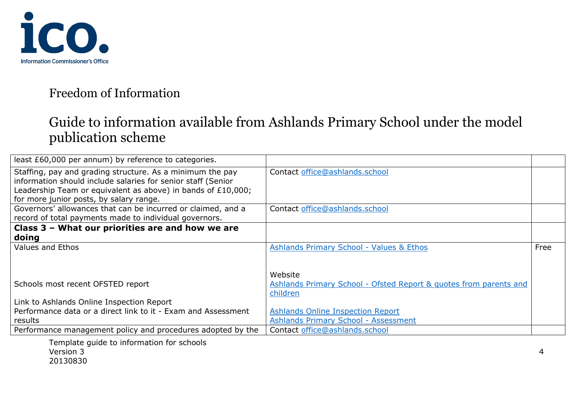

# Guide to information available from Ashlands Primary School under the model publication scheme

| least £60,000 per annum) by reference to categories.          |                                                                   |      |
|---------------------------------------------------------------|-------------------------------------------------------------------|------|
| Staffing, pay and grading structure. As a minimum the pay     | Contact office@ashlands.school                                    |      |
| information should include salaries for senior staff (Senior  |                                                                   |      |
| Leadership Team or equivalent as above) in bands of £10,000;  |                                                                   |      |
| for more junior posts, by salary range.                       |                                                                   |      |
| Governors' allowances that can be incurred or claimed, and a  | Contact office@ashlands.school                                    |      |
| record of total payments made to individual governors.        |                                                                   |      |
| Class 3 - What our priorities are and how we are              |                                                                   |      |
| doing                                                         |                                                                   |      |
| Values and Ethos                                              | <b>Ashlands Primary School - Values &amp; Ethos</b>               | Free |
|                                                               |                                                                   |      |
|                                                               |                                                                   |      |
|                                                               | Website                                                           |      |
| Schools most recent OFSTED report                             | Ashlands Primary School - Ofsted Report & guotes from parents and |      |
|                                                               | children                                                          |      |
| Link to Ashlands Online Inspection Report                     |                                                                   |      |
| Performance data or a direct link to it - Exam and Assessment | <b>Ashlands Online Inspection Report</b>                          |      |
| results                                                       | <b>Ashlands Primary School - Assessment</b>                       |      |
| Performance management policy and procedures adopted by the   | Contact office@ashlands.school                                    |      |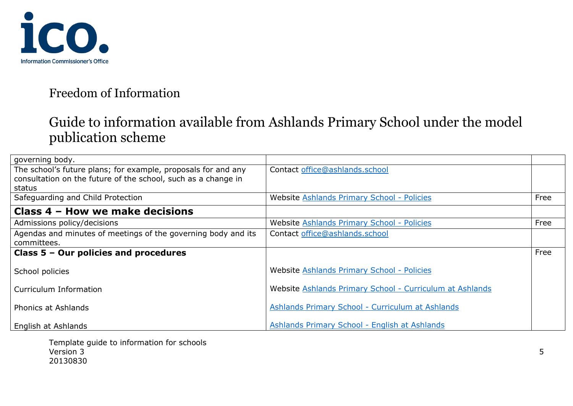

# Guide to information available from Ashlands Primary School under the model publication scheme

| governing body.                                               |                                                          |      |
|---------------------------------------------------------------|----------------------------------------------------------|------|
| The school's future plans; for example, proposals for and any | Contact office@ashlands.school                           |      |
| consultation on the future of the school, such as a change in |                                                          |      |
| status                                                        |                                                          |      |
| Safeguarding and Child Protection                             | Website Ashlands Primary School - Policies               | Free |
| Class 4 - How we make decisions                               |                                                          |      |
| Admissions policy/decisions                                   | Website Ashlands Primary School - Policies               | Free |
| Agendas and minutes of meetings of the governing body and its | Contact office@ashlands.school                           |      |
| committees.                                                   |                                                          |      |
| Class 5 - Our policies and procedures                         |                                                          | Free |
| School policies                                               | Website Ashlands Primary School - Policies               |      |
| Curriculum Information                                        | Website Ashlands Primary School - Curriculum at Ashlands |      |
|                                                               |                                                          |      |
| Phonics at Ashlands                                           | Ashlands Primary School - Curriculum at Ashlands         |      |
| English at Ashlands                                           | Ashlands Primary School - English at Ashlands            |      |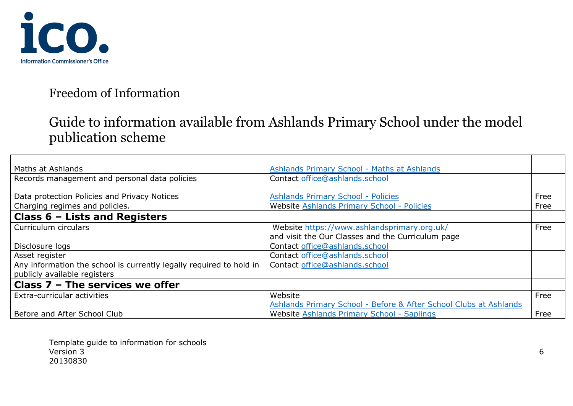

## Guide to information available from Ashlands Primary School under the model publication scheme

| Maths at Ashlands                                                   | Ashlands Primary School - Maths at Ashlands                       |      |
|---------------------------------------------------------------------|-------------------------------------------------------------------|------|
| Records management and personal data policies                       | Contact office@ashlands.school                                    |      |
|                                                                     |                                                                   |      |
| Data protection Policies and Privacy Notices                        | <b>Ashlands Primary School - Policies</b>                         | Free |
| Charging regimes and policies.                                      | Website Ashlands Primary School - Policies                        | Free |
| Class $6$ – Lists and Registers                                     |                                                                   |      |
| Curriculum circulars                                                | Website https://www.ashlandsprimary.org.uk/                       | Free |
|                                                                     | and visit the Our Classes and the Curriculum page                 |      |
| Disclosure logs                                                     | Contact office@ashlands.school                                    |      |
| Asset register                                                      | Contact office@ashlands.school                                    |      |
| Any information the school is currently legally required to hold in | Contact office@ashlands.school                                    |      |
| publicly available registers                                        |                                                                   |      |
| Class $7$ – The services we offer                                   |                                                                   |      |
| Extra-curricular activities                                         | Website                                                           | Free |
|                                                                     | Ashlands Primary School - Before & After School Clubs at Ashlands |      |
| Before and After School Club                                        | Website Ashlands Primary School - Saplings                        | Free |